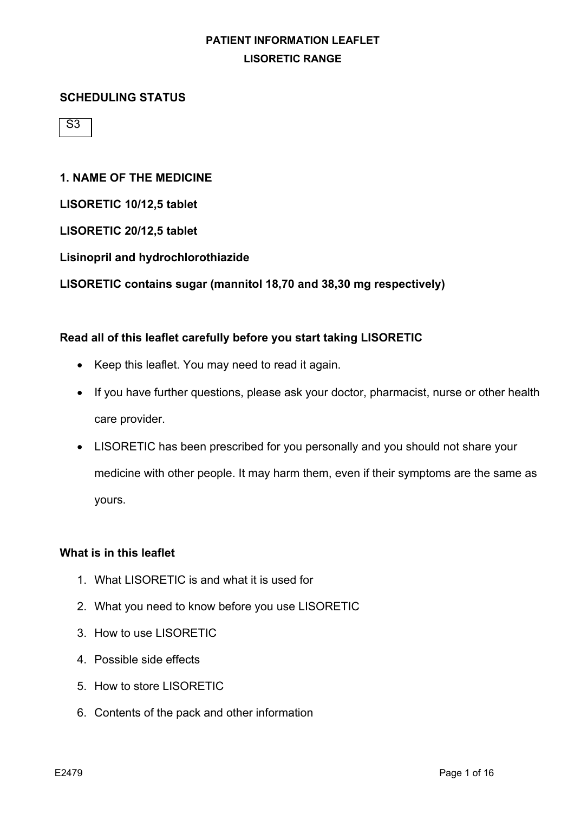#### **SCHEDULING STATUS**

 $\overline{S3}$ 

### **1. NAME OF THE MEDICINE**

**LISORETIC 10/12,5 tablet**

**LISORETIC 20/12,5 tablet**

#### **Lisinopril and hydrochlorothiazide**

**LISORETIC contains sugar (mannitol 18,70 and 38,30 mg respectively)**

### **Read all of this leaflet carefully before you start taking LISORETIC**

- Keep this leaflet. You may need to read it again.
- If you have further questions, please ask your doctor, pharmacist, nurse or other health care provider.
- LISORETIC has been prescribed for you personally and you should not share your medicine with other people. It may harm them, even if their symptoms are the same as yours.

#### **What is in this leaflet**

- 1. What LISORETIC is and what it is used for
- 2. What you need to know before you use LISORETIC
- 3. How to use LISORETIC
- 4. Possible side effects
- 5. How to store LISORETIC
- 6. Contents of the pack and other information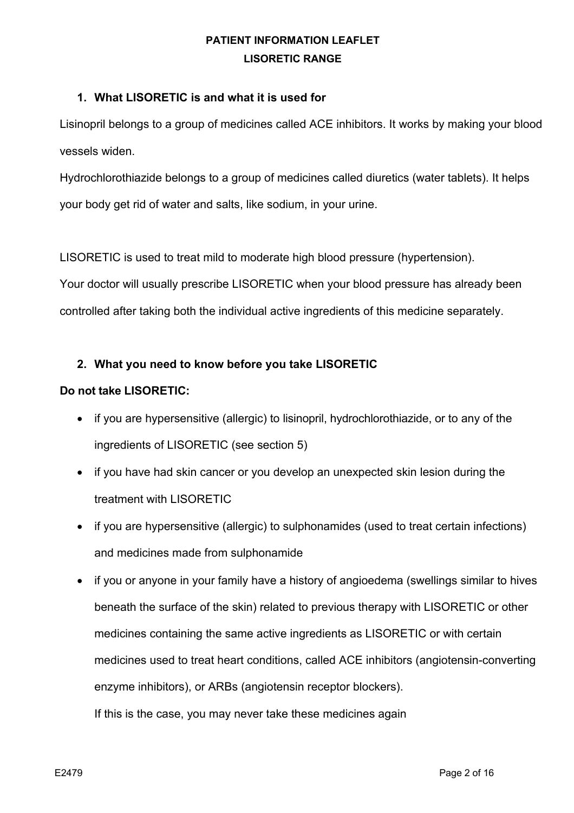### **1. What LISORETIC is and what it is used for**

Lisinopril belongs to a group of medicines called ACE inhibitors. It works by making your blood vessels widen.

Hydrochlorothiazide belongs to a group of medicines called diuretics (water tablets). It helps your body get rid of water and salts, like sodium, in your urine.

LISORETIC is used to treat mild to moderate high blood pressure (hypertension). Your doctor will usually prescribe LISORETIC when your blood pressure has already been controlled after taking both the individual active ingredients of this medicine separately.

## **2. What you need to know before you take LISORETIC**

### **Do not take LISORETIC:**

- if you are hypersensitive (allergic) to lisinopril, hydrochlorothiazide, or to any of the ingredients of LISORETIC (see section 5)
- if you have had skin cancer or you develop an unexpected skin lesion during the treatment with LISORETIC
- if you are hypersensitive (allergic) to sulphonamides (used to treat certain infections) and medicines made from sulphonamide
- if you or anyone in your family have a history of angioedema (swellings similar to hives beneath the surface of the skin) related to previous therapy with LISORETIC or other medicines containing the same active ingredients as LISORETIC or with certain medicines used to treat heart conditions, called ACE inhibitors (angiotensin-converting enzyme inhibitors), or ARBs (angiotensin receptor blockers). If this is the case, you may never take these medicines again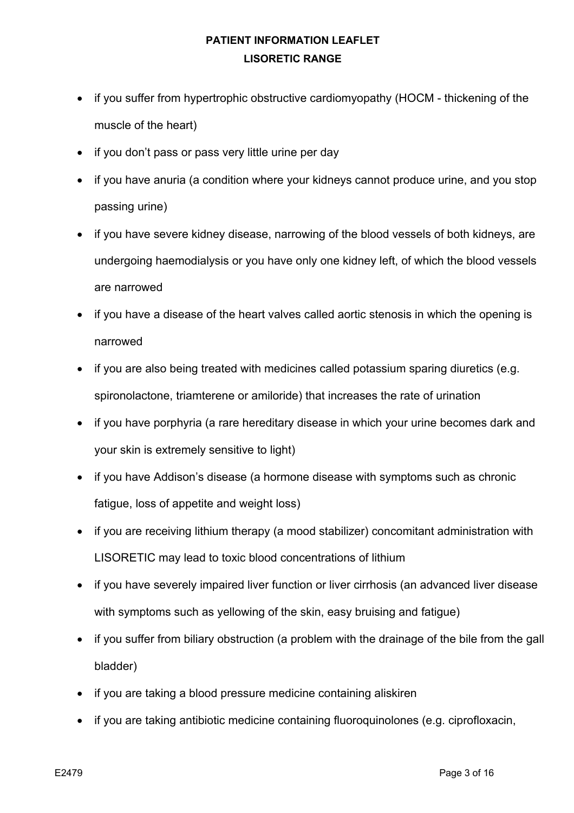- if you suffer from hypertrophic obstructive cardiomyopathy (HOCM thickening of the muscle of the heart)
- if you don't pass or pass very little urine per day
- if you have anuria (a condition where your kidneys cannot produce urine, and you stop passing urine)
- if you have severe kidney disease, narrowing of the blood vessels of both kidneys, are undergoing haemodialysis or you have only one kidney left, of which the blood vessels are narrowed
- if you have a disease of the heart valves called aortic stenosis in which the opening is narrowed
- if you are also being treated with medicines called potassium sparing diuretics (e.g. spironolactone, triamterene or amiloride) that increases the rate of urination
- if you have porphyria (a rare hereditary disease in which your urine becomes dark and your skin is extremely sensitive to light)
- if you have Addison's disease (a hormone disease with symptoms such as chronic fatigue, loss of appetite and weight loss)
- if you are receiving lithium therapy (a mood stabilizer) concomitant administration with LISORETIC may lead to toxic blood concentrations of lithium
- if you have severely impaired liver function or liver cirrhosis (an advanced liver disease with symptoms such as yellowing of the skin, easy bruising and fatigue)
- if you suffer from biliary obstruction (a problem with the drainage of the bile from the gall bladder)
- if you are taking a blood pressure medicine containing aliskiren
- if you are taking antibiotic medicine containing fluoroquinolones (e.g. ciprofloxacin,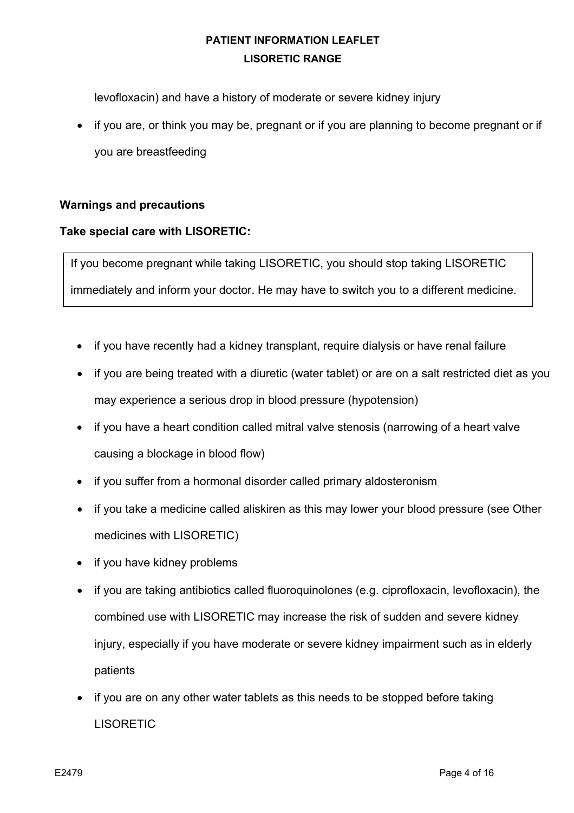levofloxacin) and have a history of moderate or severe kidney injury

• if you are, or think you may be, pregnant or if you are planning to become pregnant or if you are breastfeeding

### **Warnings and precautions**

### **Take special care with LISORETIC:**

If you become pregnant while taking LISORETIC, you should stop taking LISORETIC

immediately and inform your doctor. He may have to switch you to a different medicine.

- if you have recently had a kidney transplant, require dialysis or have renal failure
- if you are being treated with a diuretic (water tablet) or are on a salt restricted diet as you may experience a serious drop in blood pressure (hypotension)
- if you have a heart condition called mitral valve stenosis (narrowing of a heart valve causing a blockage in blood flow)
- if you suffer from a hormonal disorder called primary aldosteronism
- if you take a medicine called aliskiren as this may lower your blood pressure (see Other medicines with LISORETIC)
- if you have kidney problems
- if you are taking antibiotics called fluoroquinolones (e.g. ciprofloxacin, levofloxacin), the combined use with LISORETIC may increase the risk of sudden and severe kidney injury, especially if you have moderate or severe kidney impairment such as in elderly patients
- if you are on any other water tablets as this needs to be stopped before taking LISORETIC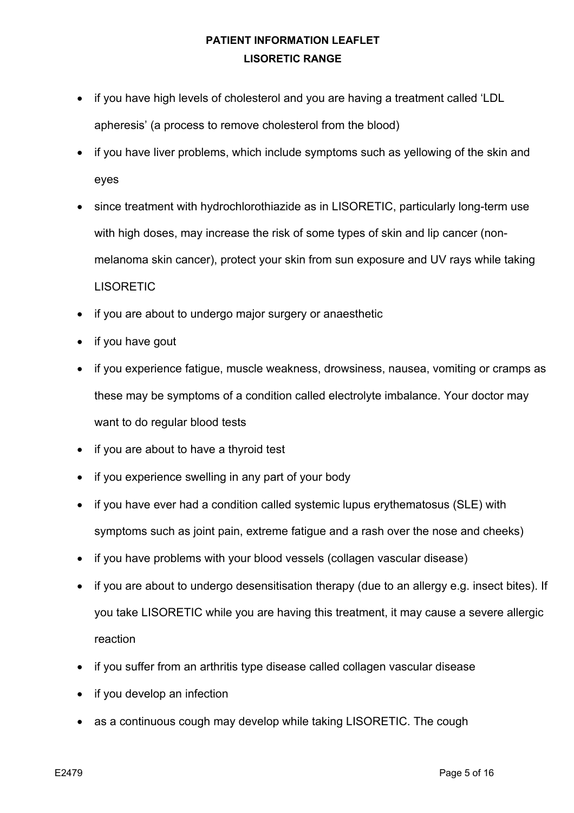- if you have high levels of cholesterol and you are having a treatment called 'LDL apheresis' (a process to remove cholesterol from the blood)
- if you have liver problems, which include symptoms such as yellowing of the skin and eyes
- since treatment with hydrochlorothiazide as in LISORETIC, particularly long-term use with high doses, may increase the risk of some types of skin and lip cancer (nonmelanoma skin cancer), protect your skin from sun exposure and UV rays while taking **LISORETIC**
- if you are about to undergo major surgery or anaesthetic
- if you have gout
- if you experience fatigue, muscle weakness, drowsiness, nausea, vomiting or cramps as these may be symptoms of a condition called electrolyte imbalance. Your doctor may want to do regular blood tests
- if you are about to have a thyroid test
- if you experience swelling in any part of your body
- if you have ever had a condition called systemic lupus erythematosus (SLE) with symptoms such as joint pain, extreme fatigue and a rash over the nose and cheeks)
- if you have problems with your blood vessels (collagen vascular disease)
- if you are about to undergo desensitisation therapy (due to an allergy e.g. insect bites). If you take LISORETIC while you are having this treatment, it may cause a severe allergic reaction
- if you suffer from an arthritis type disease called collagen vascular disease
- if you develop an infection
- as a continuous cough may develop while taking LISORETIC. The cough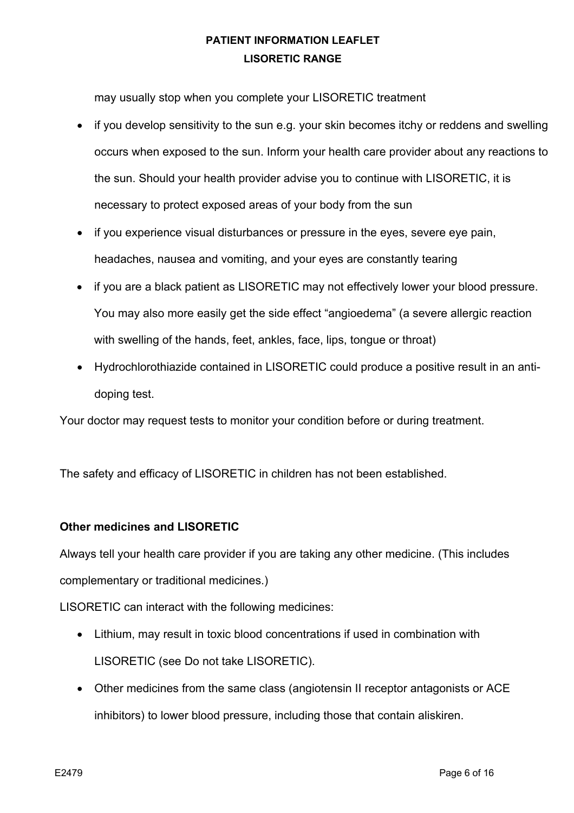may usually stop when you complete your LISORETIC treatment

- if you develop sensitivity to the sun e.g. your skin becomes itchy or reddens and swelling occurs when exposed to the sun. Inform your health care provider about any reactions to the sun. Should your health provider advise you to continue with LISORETIC, it is necessary to protect exposed areas of your body from the sun
- if you experience visual disturbances or pressure in the eyes, severe eye pain, headaches, nausea and vomiting, and your eyes are constantly tearing
- if you are a black patient as LISORETIC may not effectively lower your blood pressure. You may also more easily get the side effect "angioedema" (a severe allergic reaction with swelling of the hands, feet, ankles, face, lips, tongue or throat)
- Hydrochlorothiazide contained in LISORETIC could produce a positive result in an antidoping test.

Your doctor may request tests to monitor your condition before or during treatment.

The safety and efficacy of LISORETIC in children has not been established.

### **Other medicines and LISORETIC**

Always tell your health care provider if you are taking any other medicine. (This includes complementary or traditional medicines.)

LISORETIC can interact with the following medicines:

- Lithium, may result in toxic blood concentrations if used in combination with LISORETIC (see Do not take LISORETIC).
- Other medicines from the same class (angiotensin II receptor antagonists or ACE inhibitors) to lower blood pressure, including those that contain aliskiren.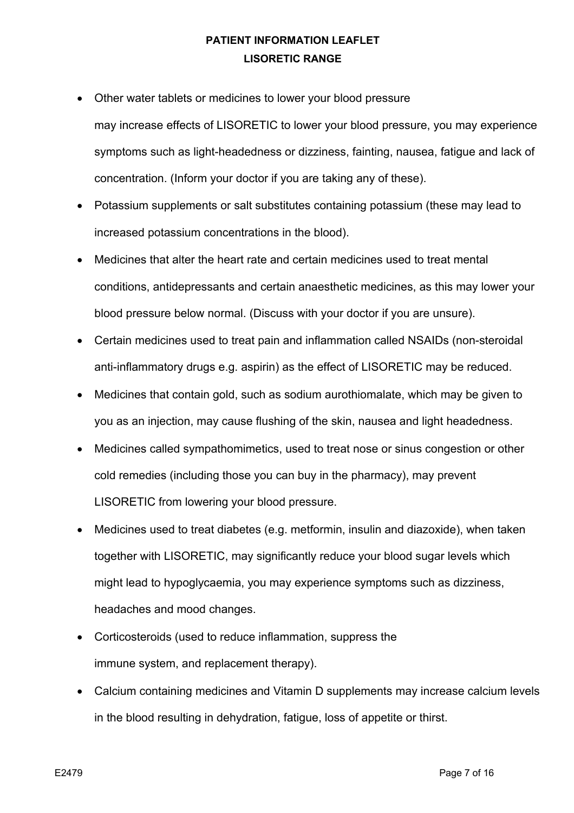- Other water tablets or medicines to lower your blood pressure
- may increase effects of LISORETIC to lower your blood pressure, you may experience symptoms such as light-headedness or dizziness, fainting, nausea, fatigue and lack of concentration. (Inform your doctor if you are taking any of these).
- Potassium supplements or salt substitutes containing potassium (these may lead to increased potassium concentrations in the blood).
- Medicines that alter the heart rate and certain medicines used to treat mental conditions, antidepressants and certain anaesthetic medicines, as this may lower your blood pressure below normal. (Discuss with your doctor if you are unsure).
- Certain medicines used to treat pain and inflammation called NSAIDs (non-steroidal anti-inflammatory drugs e.g. aspirin) as the effect of LISORETIC may be reduced.
- Medicines that contain gold, such as sodium aurothiomalate, which may be given to you as an injection, may cause flushing of the skin, nausea and light headedness.
- Medicines called sympathomimetics, used to treat nose or sinus congestion or other cold remedies (including those you can buy in the pharmacy), may prevent LISORETIC from lowering your blood pressure.
- Medicines used to treat diabetes (e.g. metformin, insulin and diazoxide), when taken together with LISORETIC, may significantly reduce your blood sugar levels which might lead to hypoglycaemia, you may experience symptoms such as dizziness, headaches and mood changes.
- Corticosteroids (used to reduce inflammation, suppress the immune system, and replacement therapy).
- Calcium containing medicines and Vitamin D supplements may increase calcium levels in the blood resulting in dehydration, fatigue, loss of appetite or thirst.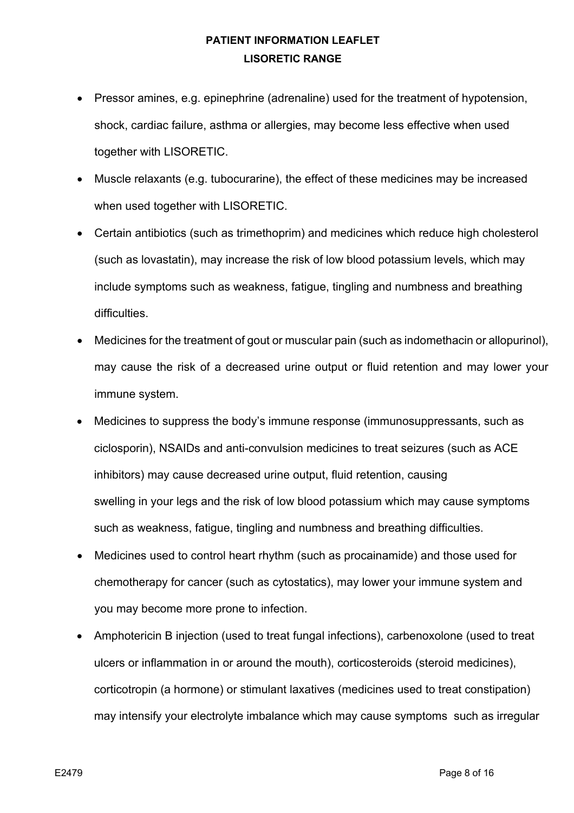- Pressor amines, e.g. epinephrine (adrenaline) used for the treatment of hypotension, shock, cardiac failure, asthma or allergies, may become less effective when used together with LISORETIC.
- Muscle relaxants (e.g. tubocurarine), the effect of these medicines may be increased when used together with LISORETIC.
- Certain antibiotics (such as trimethoprim) and medicines which reduce high cholesterol (such as lovastatin), may increase the risk of low blood potassium levels, which may include symptoms such as weakness, fatigue, tingling and numbness and breathing difficulties.
- Medicines for the treatment of gout or muscular pain (such as indomethacin or allopurinol), may cause the risk of a decreased urine output or fluid retention and may lower your immune system.
- Medicines to suppress the body's immune response (immunosuppressants, such as ciclosporin), NSAIDs and anti-convulsion medicines to treat seizures (such as ACE inhibitors) may cause decreased urine output, fluid retention, causing swelling in your legs and the risk of low blood potassium which may cause symptoms such as weakness, fatigue, tingling and numbness and breathing difficulties.
- Medicines used to control heart rhythm (such as procainamide) and those used for chemotherapy for cancer (such as cytostatics), may lower your immune system and you may become more prone to infection.
- Amphotericin B injection (used to treat fungal infections), carbenoxolone (used to treat ulcers or inflammation in or around the mouth), corticosteroids (steroid medicines), corticotropin (a hormone) or stimulant laxatives (medicines used to treat constipation) may intensify your electrolyte imbalance which may cause symptoms such as irregular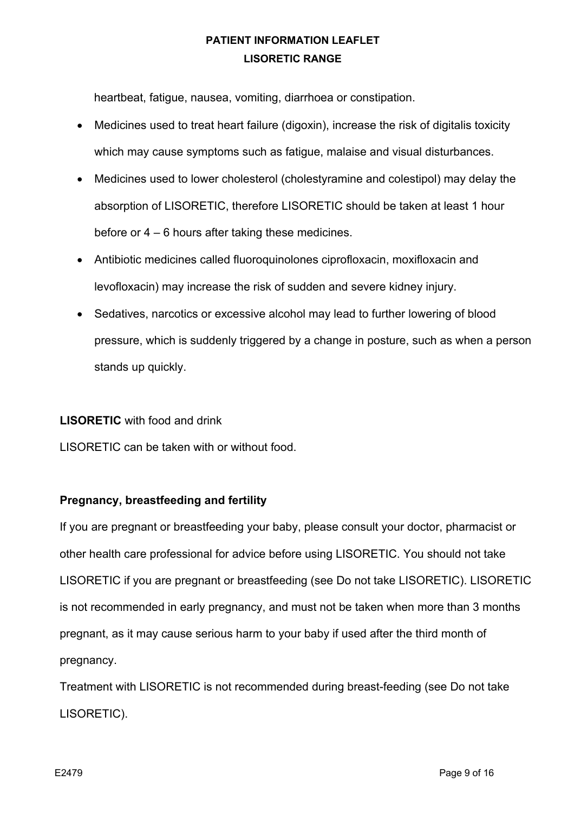heartbeat, fatigue, nausea, vomiting, diarrhoea or constipation.

- Medicines used to treat heart failure (digoxin), increase the risk of digitalis toxicity which may cause symptoms such as fatigue, malaise and visual disturbances.
- Medicines used to lower cholesterol (cholestyramine and colestipol) may delay the absorption of LISORETIC, therefore LISORETIC should be taken at least 1 hour before or 4 – 6 hours after taking these medicines.
- Antibiotic medicines called fluoroquinolones ciprofloxacin, moxifloxacin and levofloxacin) may increase the risk of sudden and severe kidney injury.
- Sedatives, narcotics or excessive alcohol may lead to further lowering of blood pressure, which is suddenly triggered by a change in posture, such as when a person stands up quickly.

### **LISORETIC** with food and drink

LISORETIC can be taken with or without food.

#### **Pregnancy, breastfeeding and fertility**

If you are pregnant or breastfeeding your baby, please consult your doctor, pharmacist or other health care professional for advice before using LISORETIC. You should not take LISORETIC if you are pregnant or breastfeeding (see Do not take LISORETIC). LISORETIC is not recommended in early pregnancy, and must not be taken when more than 3 months pregnant, as it may cause serious harm to your baby if used after the third month of pregnancy.

Treatment with LISORETIC is not recommended during breast-feeding (see Do not take LISORETIC).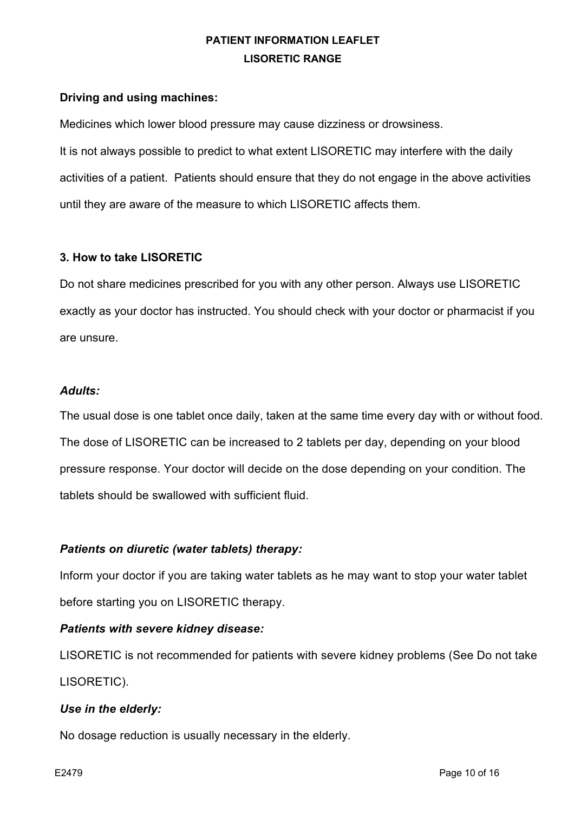### **Driving and using machines:**

Medicines which lower blood pressure may cause dizziness or drowsiness.

It is not always possible to predict to what extent LISORETIC may interfere with the daily activities of a patient. Patients should ensure that they do not engage in the above activities until they are aware of the measure to which LISORETIC affects them.

### **3. How to take LISORETIC**

Do not share medicines prescribed for you with any other person. Always use LISORETIC exactly as your doctor has instructed. You should check with your doctor or pharmacist if you are unsure.

### *Adults:*

The usual dose is one tablet once daily, taken at the same time every day with or without food. The dose of LISORETIC can be increased to 2 tablets per day, depending on your blood pressure response. Your doctor will decide on the dose depending on your condition. The tablets should be swallowed with sufficient fluid.

### *Patients on diuretic (water tablets) therapy:*

Inform your doctor if you are taking water tablets as he may want to stop your water tablet before starting you on LISORETIC therapy.

#### *Patients with severe kidney disease:*

LISORETIC is not recommended for patients with severe kidney problems (See Do not take LISORETIC).

#### *Use in the elderly:*

No dosage reduction is usually necessary in the elderly.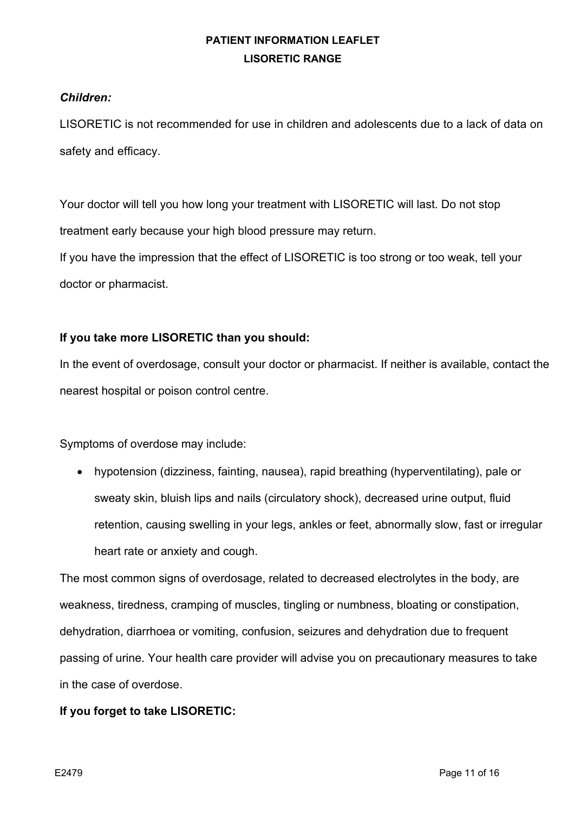### *Children:*

LISORETIC is not recommended for use in children and adolescents due to a lack of data on safety and efficacy.

Your doctor will tell you how long your treatment with LISORETIC will last. Do not stop treatment early because your high blood pressure may return. If you have the impression that the effect of LISORETIC is too strong or too weak, tell your doctor or pharmacist.

### **If you take more LISORETIC than you should:**

In the event of overdosage, consult your doctor or pharmacist. If neither is available, contact the nearest hospital or poison control centre.

Symptoms of overdose may include:

• hypotension (dizziness, fainting, nausea), rapid breathing (hyperventilating), pale or sweaty skin, bluish lips and nails (circulatory shock), decreased urine output, fluid retention, causing swelling in your legs, ankles or feet, abnormally slow, fast or irregular heart rate or anxiety and cough.

The most common signs of overdosage, related to decreased electrolytes in the body, are weakness, tiredness, cramping of muscles, tingling or numbness, bloating or constipation, dehydration, diarrhoea or vomiting, confusion, seizures and dehydration due to frequent passing of urine. Your health care provider will advise you on precautionary measures to take in the case of overdose.

### **If you forget to take LISORETIC:**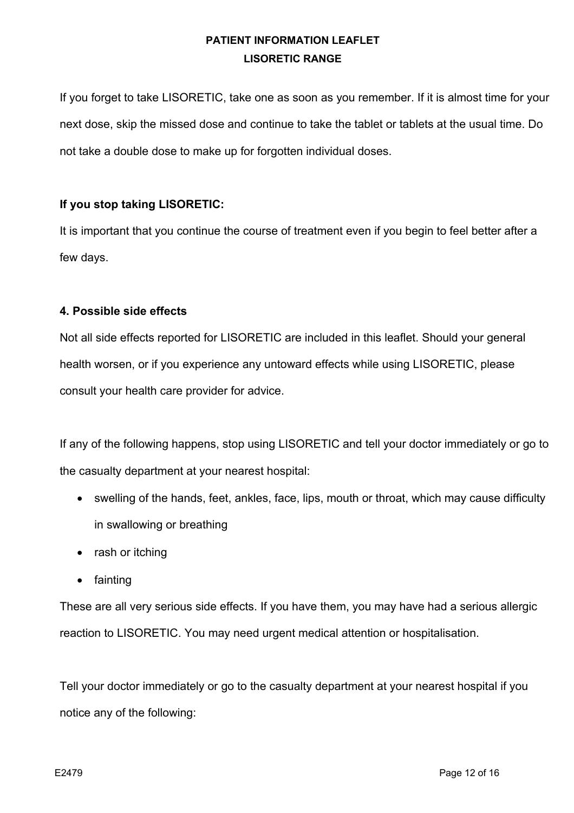If you forget to take LISORETIC, take one as soon as you remember. If it is almost time for your next dose, skip the missed dose and continue to take the tablet or tablets at the usual time. Do not take a double dose to make up for forgotten individual doses.

### **If you stop taking LISORETIC:**

It is important that you continue the course of treatment even if you begin to feel better after a few days.

### **4. Possible side effects**

Not all side effects reported for LISORETIC are included in this leaflet. Should your general health worsen, or if you experience any untoward effects while using LISORETIC, please consult your health care provider for advice.

If any of the following happens, stop using LISORETIC and tell your doctor immediately or go to the casualty department at your nearest hospital:

- swelling of the hands, feet, ankles, face, lips, mouth or throat, which may cause difficulty in swallowing or breathing
- rash or itching
- fainting

These are all very serious side effects. If you have them, you may have had a serious allergic reaction to LISORETIC. You may need urgent medical attention or hospitalisation.

Tell your doctor immediately or go to the casualty department at your nearest hospital if you notice any of the following: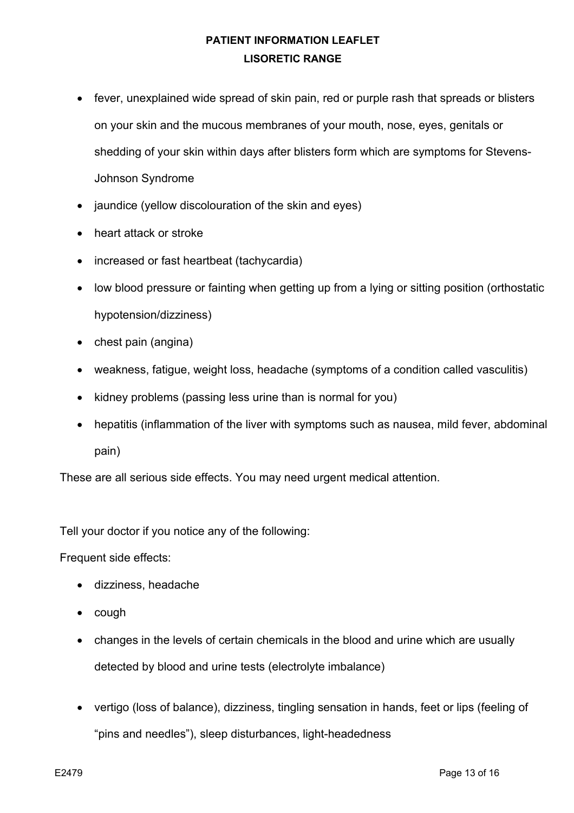- fever, unexplained wide spread of skin pain, red or purple rash that spreads or blisters on your skin and the mucous membranes of your mouth, nose, eyes, genitals or shedding of your skin within days after blisters form which are symptoms for Stevens-Johnson Syndrome
- jaundice (yellow discolouration of the skin and eyes)
- heart attack or stroke
- increased or fast heartbeat (tachycardia)
- low blood pressure or fainting when getting up from a lying or sitting position (orthostatic hypotension/dizziness)
- chest pain (angina)
- weakness, fatigue, weight loss, headache (symptoms of a condition called vasculitis)
- kidney problems (passing less urine than is normal for you)
- hepatitis (inflammation of the liver with symptoms such as nausea, mild fever, abdominal pain)

These are all serious side effects. You may need urgent medical attention.

Tell your doctor if you notice any of the following:

Frequent side effects:

- dizziness, headache
- cough
- changes in the levels of certain chemicals in the blood and urine which are usually detected by blood and urine tests (electrolyte imbalance)
- vertigo (loss of balance), dizziness, tingling sensation in hands, feet or lips (feeling of "pins and needles"), sleep disturbances, light-headedness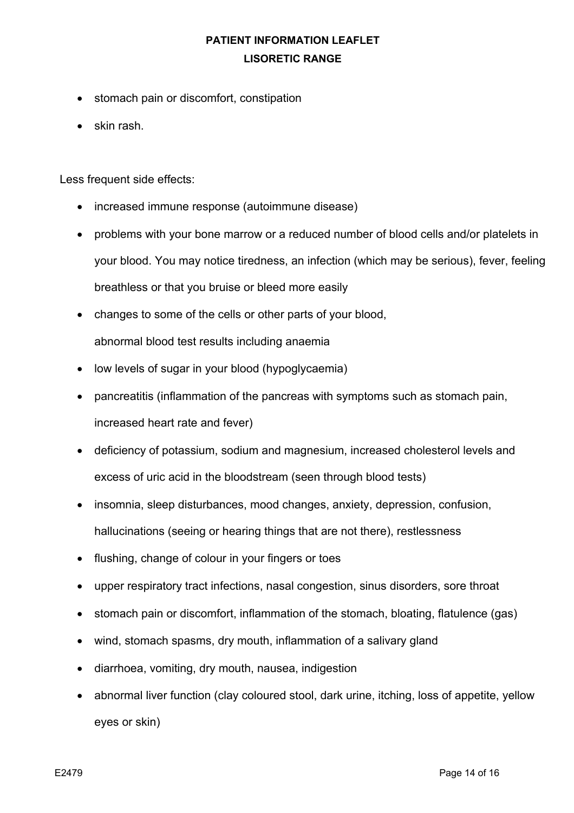- stomach pain or discomfort, constipation
- skin rash.

Less frequent side effects:

- increased immune response (autoimmune disease)
- problems with your bone marrow or a reduced number of blood cells and/or platelets in your blood. You may notice tiredness, an infection (which may be serious), fever, feeling breathless or that you bruise or bleed more easily
- changes to some of the cells or other parts of your blood, abnormal blood test results including anaemia
- low levels of sugar in your blood (hypoglycaemia)
- pancreatitis (inflammation of the pancreas with symptoms such as stomach pain, increased heart rate and fever)
- deficiency of potassium, sodium and magnesium, increased cholesterol levels and excess of uric acid in the bloodstream (seen through blood tests)
- insomnia, sleep disturbances, mood changes, anxiety, depression, confusion, hallucinations (seeing or hearing things that are not there), restlessness
- flushing, change of colour in your fingers or toes
- upper respiratory tract infections, nasal congestion, sinus disorders, sore throat
- stomach pain or discomfort, inflammation of the stomach, bloating, flatulence (gas)
- wind, stomach spasms, dry mouth, inflammation of a salivary gland
- diarrhoea, vomiting, dry mouth, nausea, indigestion
- abnormal liver function (clay coloured stool, dark urine, itching, loss of appetite, yellow eyes or skin)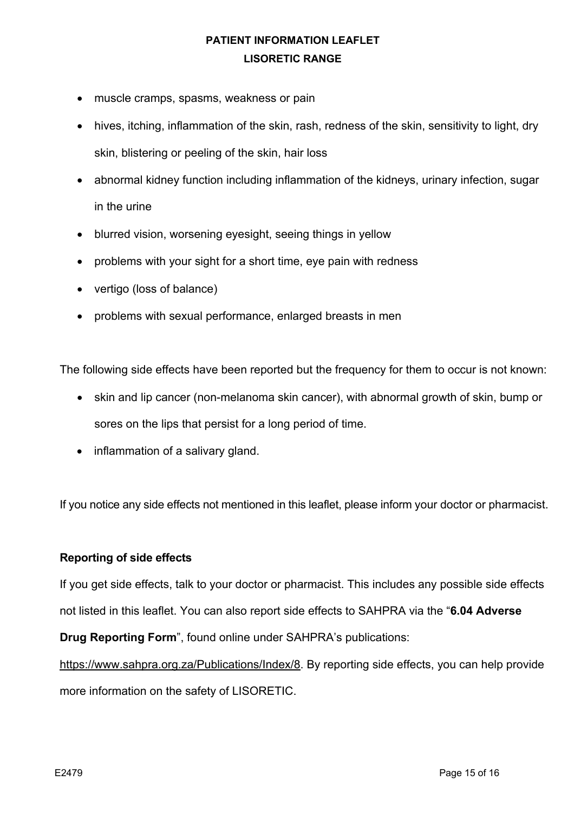- muscle cramps, spasms, weakness or pain
- hives, itching, inflammation of the skin, rash, redness of the skin, sensitivity to light, dry skin, blistering or peeling of the skin, hair loss
- abnormal kidney function including inflammation of the kidneys, urinary infection, sugar in the urine
- blurred vision, worsening eyesight, seeing things in yellow
- problems with your sight for a short time, eye pain with redness
- vertigo (loss of balance)
- problems with sexual performance, enlarged breasts in men

The following side effects have been reported but the frequency for them to occur is not known:

- skin and lip cancer (non-melanoma skin cancer), with abnormal growth of skin, bump or sores on the lips that persist for a long period of time.
- inflammation of a salivary gland.

If you notice any side effects not mentioned in this leaflet, please inform your doctor or pharmacist.

#### **Reporting of side effects**

If you get side effects, talk to your doctor or pharmacist. This includes any possible side effects not listed in this leaflet. You can also report side effects to SAHPRA via the "**6.04 Adverse** 

**Drug Reporting Form**", found online under SAHPRA's publications:

https://www.sahpra.org.za/Publications/Index/8. By reporting side effects, you can help provide more information on the safety of LISORETIC.